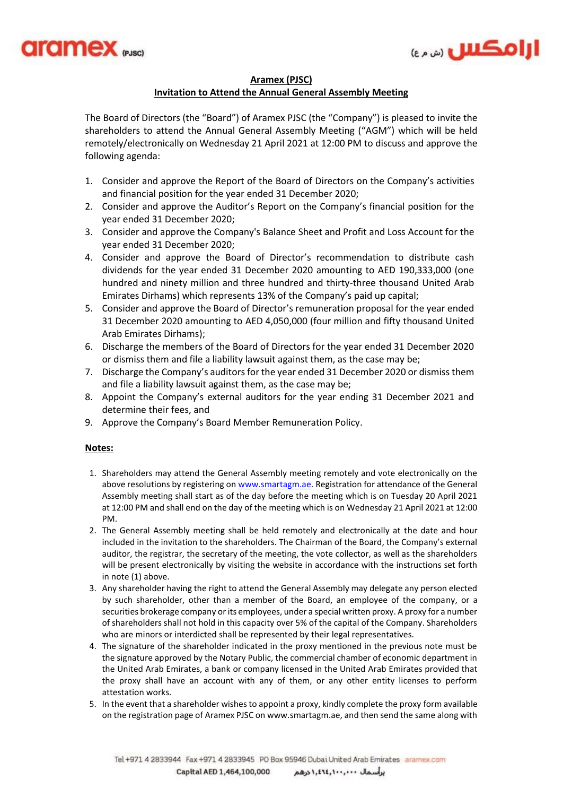



## **Aramex (PJSC) Invitation to Attend the Annual General Assembly Meeting**

The Board of Directors (the "Board") of Aramex PJSC (the "Company") is pleased to invite the shareholders to attend the Annual General Assembly Meeting ("AGM") which will be held remotely/electronically on Wednesday 21 April 2021 at 12:00 PM to discuss and approve the following agenda:

- 1. Consider and approve the Report of the Board of Directors on the Company's activities and financial position for the year ended 31 December 2020;
- 2. Consider and approve the Auditor's Report on the Company's financial position for the year ended 31 December 2020;
- 3. Consider and approve the Company's Balance Sheet and Profit and Loss Account for the year ended 31 December 2020;
- 4. Consider and approve the Board of Director's recommendation to distribute cash dividends for the year ended 31 December 2020 amounting to AED 190,333,000 (one hundred and ninety million and three hundred and thirty-three thousand United Arab Emirates Dirhams) which represents 13% of the Company's paid up capital;
- 5. Consider and approve the Board of Director's remuneration proposal for the year ended 31 December 2020 amounting to AED 4,050,000 (four million and fifty thousand United Arab Emirates Dirhams);
- 6. Discharge the members of the Board of Directors for the year ended 31 December 2020 or dismiss them and file a liability lawsuit against them, as the case may be;
- 7. Discharge the Company's auditors for the year ended 31 December 2020 or dismiss them and file a liability lawsuit against them, as the case may be;
- 8. Appoint the Company's external auditors for the year ending 31 December 2021 and determine their fees, and
- 9. Approve the Company's Board Member Remuneration Policy.

## **Notes:**

- 1. Shareholders may attend the General Assembly meeting remotely and vote electronically on the above resolutions by registering on [www.smartagm.ae.](http://www.smartagm.ae/) Registration for attendance of the General Assembly meeting shall start as of the day before the meeting which is on Tuesday 20 April 2021 at 12:00 PM and shall end on the day of the meeting which is on Wednesday 21 April 2021 at 12:00 PM.
- 2. The General Assembly meeting shall be held remotely and electronically at the date and hour included in the invitation to the shareholders. The Chairman of the Board, the Company's external auditor, the registrar, the secretary of the meeting, the vote collector, as well as the shareholders will be present electronically by visiting the website in accordance with the instructions set forth in note (1) above.
- 3. Any shareholder having the right to attend the General Assembly may delegate any person elected by such shareholder, other than a member of the Board, an employee of the company, or a securities brokerage company or its employees, under a special written proxy. A proxy for a number of shareholders shall not hold in this capacity over 5% of the capital of the Company. Shareholders who are minors or interdicted shall be represented by their legal representatives.
- 4. The signature of the shareholder indicated in the proxy mentioned in the previous note must be the signature approved by the Notary Public, the commercial chamber of economic department in the United Arab Emirates, a bank or company licensed in the United Arab Emirates provided that the proxy shall have an account with any of them, or any other entity licenses to perform attestation works.
- 5. In the event that a shareholder wishes to appoint a proxy, kindly complete the proxy form available on the registration page of Aramex PJSC on www.smartagm.ae, and then send the same along with